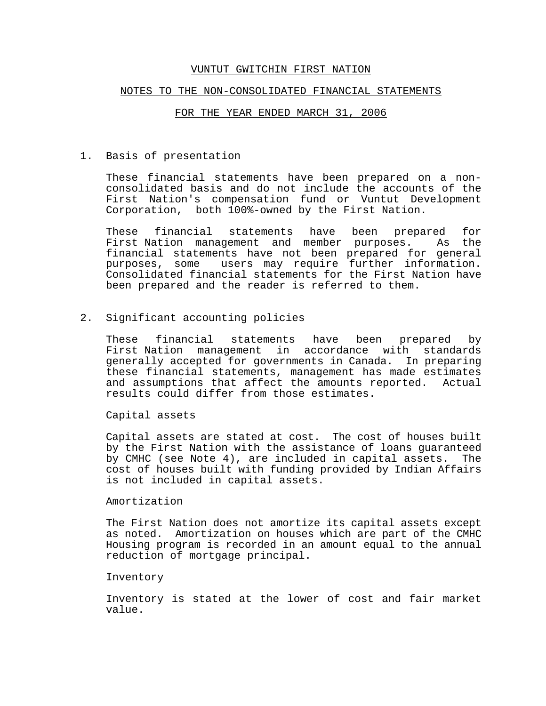### NOTES TO THE NON-CONSOLIDATED FINANCIAL STATEMENTS

#### FOR THE YEAR ENDED MARCH 31, 2006

1. Basis of presentation

These financial statements have been prepared on a nonconsolidated basis and do not include the accounts of the First Nation's compensation fund or Vuntut Development Corporation, both 100%-owned by the First Nation.

These financial statements have been prepared for First Nation management and member purposes. As the financial statements have not been prepared for general purposes, some users may require further information. Consolidated financial statements for the First Nation have been prepared and the reader is referred to them.

2. Significant accounting policies

These financial statements have been prepared by First Nation management in accordance with standards generally accepted for governments in Canada. In preparing these financial statements, management has made estimates and assumptions that affect the amounts reported. Actual results could differ from those estimates.

Capital assets

Capital assets are stated at cost. The cost of houses built by the First Nation with the assistance of loans guaranteed by CMHC (see Note 4), are included in capital assets. The cost of houses built with funding provided by Indian Affairs is not included in capital assets.

### Amortization

The First Nation does not amortize its capital assets except as noted. Amortization on houses which are part of the CMHC Housing program is recorded in an amount equal to the annual reduction of mortgage principal.

### Inventory

Inventory is stated at the lower of cost and fair market value.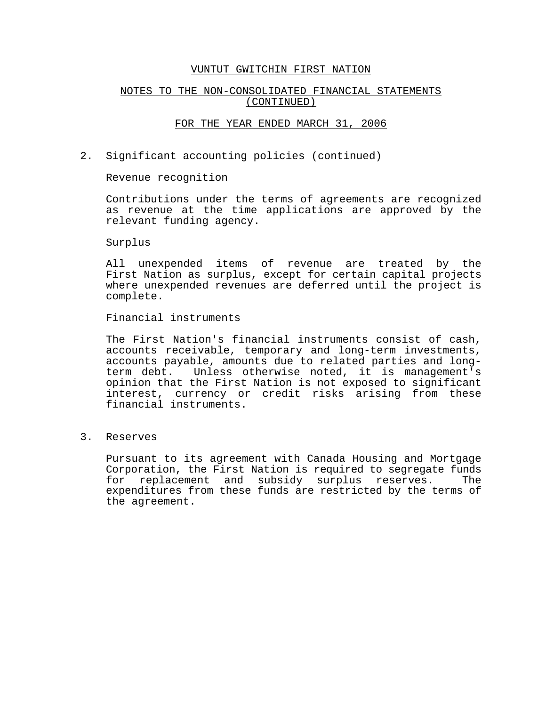# NOTES TO THE NON-CONSOLIDATED FINANCIAL STATEMENTS (CONTINUED)

## FOR THE YEAR ENDED MARCH 31, 2006

2. Significant accounting policies (continued)

Revenue recognition

Contributions under the terms of agreements are recognized as revenue at the time applications are approved by the relevant funding agency.

Surplus

All unexpended items of revenue are treated by the First Nation as surplus, except for certain capital projects where unexpended revenues are deferred until the project is complete.

Financial instruments

The First Nation's financial instruments consist of cash, accounts receivable, temporary and long-term investments, accounts payable, amounts due to related parties and longterm debt. Unless otherwise noted, it is management's opinion that the First Nation is not exposed to significant interest, currency or credit risks arising from these financial instruments.

3. Reserves

Pursuant to its agreement with Canada Housing and Mortgage Corporation, the First Nation is required to segregate funds for replacement and subsidy surplus reserves. The expenditures from these funds are restricted by the terms of the agreement.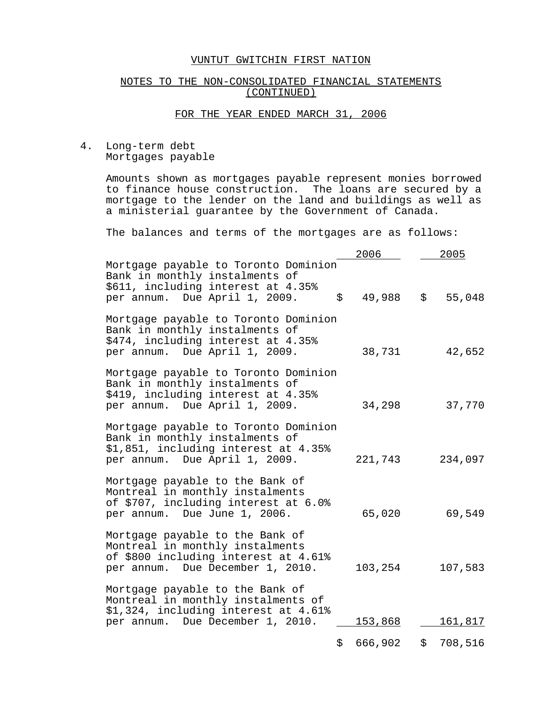# NOTES TO THE NON-CONSOLIDATED FINANCIAL STATEMENTS (CONTINUED)

# FOR THE YEAR ENDED MARCH 31, 2006

4. Long-term debt Mortgages payable

> Amounts shown as mortgages payable represent monies borrowed to finance house construction. The loans are secured by a mortgage to the lender on the land and buildings as well as a ministerial guarantee by the Government of Canada.

The balances and terms of the mortgages are as follows:

|                                                                                                                                                   |                     | 2006    | 2005          |
|---------------------------------------------------------------------------------------------------------------------------------------------------|---------------------|---------|---------------|
| Mortgage payable to Toronto Dominion<br>Bank in monthly instalments of<br>\$611, including interest at 4.35%<br>per annum. Due April 1, 2009.     | $\ddot{\mathsf{S}}$ | 49,988  | \$<br>55,048  |
| Mortgage payable to Toronto Dominion<br>Bank in monthly instalments of<br>\$474, including interest at 4.35%<br>per annum. Due April 1, 2009.     |                     | 38,731  | 42,652        |
| Mortgage payable to Toronto Dominion<br>Bank in monthly instalments of<br>\$419, including interest at 4.35%<br>per annum. Due April 1, 2009.     |                     | 34,298  | 37,770        |
| Mortgage payable to Toronto Dominion<br>Bank in monthly instalments of<br>\$1,851, including interest at 4.35%<br>per annum. Due April 1, 2009.   |                     | 221,743 | 234,097       |
| Mortgage payable to the Bank of<br>Montreal in monthly instalments<br>of \$707, including interest at 6.0%<br>per annum. Due June 1, 2006.        |                     | 65,020  | 69,549        |
| Mortgage payable to the Bank of<br>Montreal in monthly instalments<br>of \$800 including interest at 4.61%<br>per annum. Due December 1, 2010.    |                     | 103,254 | 107,583       |
| Mortgage payable to the Bank of<br>Montreal in monthly instalments of<br>\$1,324, including interest at 4.61%<br>per annum. Due December 1, 2010. |                     | 153,868 | 161,817       |
|                                                                                                                                                   | \$                  | 666,902 | \$<br>708,516 |